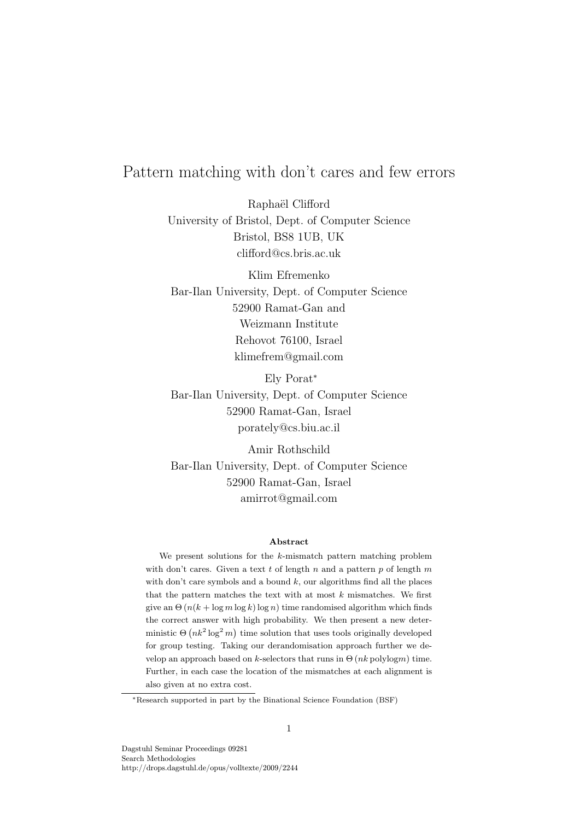# Pattern matching with don't cares and few errors

Raphaël Clifford University of Bristol, Dept. of Computer Science Bristol, BS8 1UB, UK clifford@cs.bris.ac.uk

Klim Efremenko Bar-Ilan University, Dept. of Computer Science 52900 Ramat-Gan and Weizmann Institute Rehovot 76100, Israel klimefrem@gmail.com

Ely Porat<sup>∗</sup> Bar-Ilan University, Dept. of Computer Science 52900 Ramat-Gan, Israel porately@cs.biu.ac.il

Amir Rothschild Bar-Ilan University, Dept. of Computer Science 52900 Ramat-Gan, Israel amirrot@gmail.com

#### Abstract

We present solutions for the k-mismatch pattern matching problem with don't cares. Given a text t of length n and a pattern  $p$  of length m with don't care symbols and a bound  $k$ , our algorithms find all the places that the pattern matches the text with at most  $k$  mismatches. We first give an  $\Theta(n(k + \log m \log k) \log n)$  time randomised algorithm which finds the correct answer with high probability. We then present a new deterministic  $\Theta \left(nk^2 \log^2 m\right)$  time solution that uses tools originally developed for group testing. Taking our derandomisation approach further we develop an approach based on k-selectors that runs in  $\Theta(nk)$  polylogm time. Further, in each case the location of the mismatches at each alignment is also given at no extra cost.

Dagstuhl Seminar Proceedings 09281 Search Methodologies http://drops.dagstuhl.de/opus/volltexte/2009/2244

<sup>∗</sup>Research supported in part by the Binational Science Foundation (BSF)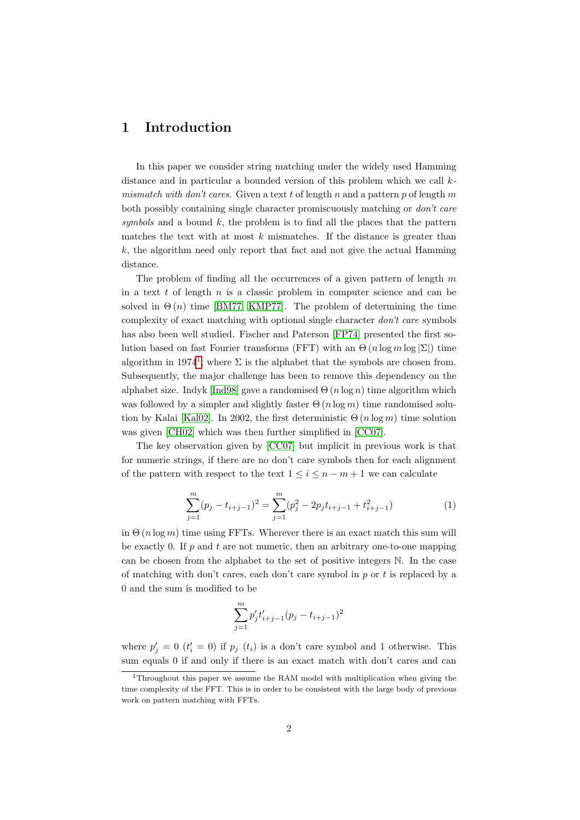### <span id="page-1-2"></span>1 Introduction

In this paper we consider string matching under the widely used Hamming distance and in particular a bounded version of this problem which we call  $k$ mismatch with don't cares. Given a text t of length n and a pattern p of length m both possibly containing single character promiscuously matching or *don't care* symbols and a bound  $k$ , the problem is to find all the places that the pattern matches the text with at most  $k$  mismatches. If the distance is greater than  $k$ , the algorithm need only report that fact and not give the actual Hamming distance.

The problem of finding all the occurrences of a given pattern of length  $m$ in a text  $t$  of length  $n$  is a classic problem in computer science and can be solved in  $\Theta(n)$  time [\[BM77,](#page-16-0) [KMP77\]](#page-18-0). The problem of determining the time complexity of exact matching with optional single character don't care symbols has also been well studied. Fischer and Paterson [\[FP74\]](#page-17-0) presented the first solution based on fast Fourier transforms (FFT) with an  $\Theta(n \log m \log |\Sigma|)$  time algorithm in [1](#page-1-0)974<sup>1</sup>, where  $\Sigma$  is the alphabet that the symbols are chosen from. Subsequently, the major challenge has been to remove this dependency on the alphabet size. Indyk [\[Ind98\]](#page-17-1) gave a randomised  $\Theta(n \log n)$  time algorithm which was followed by a simpler and slightly faster  $\Theta(n \log m)$  time randomised solu-tion by Kalai [\[Kal02\]](#page-18-1). In 2002, the first deterministic  $\Theta(n \log m)$  time solution was given [\[CH02\]](#page-16-1) which was then further simplified in [\[CC07\]](#page-16-2).

The key observation given by [\[CC07\]](#page-16-2) but implicit in previous work is that for numeric strings, if there are no don't care symbols then for each alignment of the pattern with respect to the text  $1 \leq i \leq n-m+1$  we can calculate

<span id="page-1-1"></span>
$$
\sum_{j=1}^{m} (p_j - t_{i+j-1})^2 = \sum_{j=1}^{m} (p_j^2 - 2p_j t_{i+j-1} + t_{i+j-1}^2)
$$
 (1)

in  $\Theta(n \log m)$  time using FFTs. Wherever there is an exact match this sum will be exactly 0. If  $p$  and  $t$  are not numeric, then an arbitrary one-to-one mapping can be chosen from the alphabet to the set of positive integers N. In the case of matching with don't cares, each don't care symbol in  $p$  or  $t$  is replaced by a 0 and the sum is modified to be

$$
\sum_{j=1}^{m} p'_j t'_{i+j-1} (p_j - t_{i+j-1})^2
$$

where  $p'_{j} = 0$  ( $t'_{i} = 0$ ) if  $p_{j}$  ( $t_{i}$ ) is a don't care symbol and 1 otherwise. This sum equals 0 if and only if there is an exact match with don't cares and can

<span id="page-1-0"></span><sup>&</sup>lt;sup>1</sup>Throughout this paper we assume the RAM model with multiplication when giving the time complexity of the FFT. This is in order to be consistent with the large body of previous work on pattern matching with FFTs.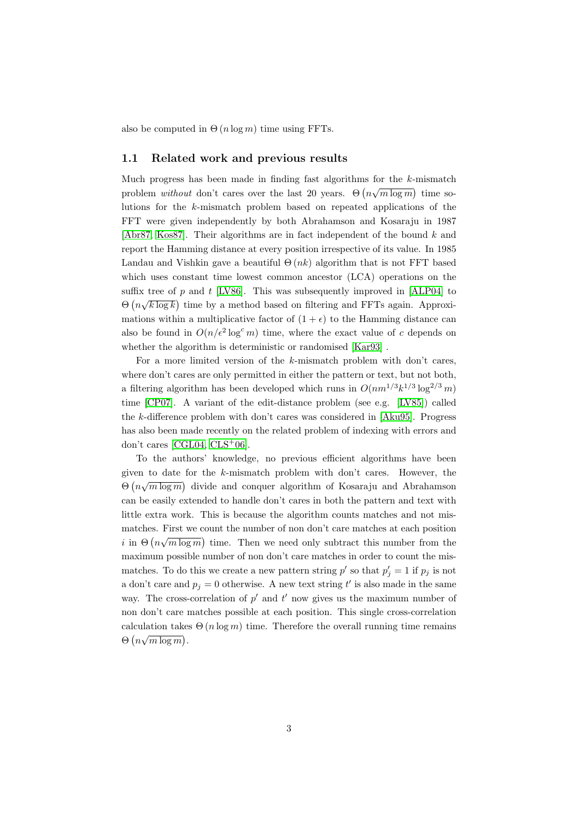also be computed in  $\Theta(n \log m)$  time using FFTs.

#### 1.1 Related work and previous results

Much progress has been made in finding fast algorithms for the  $k$ -mismatch problem without don't cares over the last 20 years.  $\Theta(n\sqrt{m \log m})$  time solutions for the k-mismatch problem based on repeated applications of the FFT were given independently by both Abrahamson and Kosaraju in 1987 [\[Abr87,](#page-16-3) [Kos87\]](#page-18-2). Their algorithms are in fact independent of the bound k and report the Hamming distance at every position irrespective of its value. In 1985 Landau and Vishkin gave a beautiful  $\Theta(nk)$  algorithm that is not FFT based which uses constant time lowest common ancestor (LCA) operations on the suffix tree of p and t [\[LV86\]](#page-18-3). This was subsequently improved in [\[ALP04\]](#page-16-4) to  $\Theta(n\sqrt{k \log k})$  time by a method based on filtering and FFTs again. Approximations within a multiplicative factor of  $(1 + \epsilon)$  to the Hamming distance can also be found in  $O(n/\epsilon^2 \log^c m)$  time, where the exact value of c depends on whether the algorithm is deterministic or randomised [\[Kar93\]](#page-18-4) .

For a more limited version of the  $k$ -mismatch problem with don't cares, where don't cares are only permitted in either the pattern or text, but not both, a filtering algorithm has been developed which runs in  $O(nm^{1/3}k^{1/3}\log^{2/3}m)$ time [\[CP07\]](#page-17-2). A variant of the edit-distance problem (see e.g. [\[LV85\]](#page-18-5)) called the k-difference problem with don't cares was considered in [\[Aku95\]](#page-16-5). Progress has also been made recently on the related problem of indexing with errors and don't cares  $[CGL04, CLS+06]$  $[CGL04, CLS+06]$  $[CGL04, CLS+06]$ .

To the authors' knowledge, no previous efficient algorithms have been given to date for the k-mismatch problem with don't cares. However, the  $\Theta(n\sqrt{m \log m})$  divide and conquer algorithm of Kosaraju and Abrahamson can be easily extended to handle don't cares in both the pattern and text with little extra work. This is because the algorithm counts matches and not mismatches. First we count the number of non don't care matches at each position is in  $\Theta(n\sqrt{m\log m})$  time. Then we need only subtract this number from the maximum possible number of non don't care matches in order to count the mismatches. To do this we create a new pattern string  $p'$  so that  $p'_j = 1$  if  $p_j$  is not a don't care and  $p_j = 0$  otherwise. A new text string t' is also made in the same way. The cross-correlation of  $p'$  and  $t'$  now gives us the maximum number of non don't care matches possible at each position. This single cross-correlation calculation takes  $\Theta(n \log m)$  time. Therefore the overall running time remains  $\Theta(n\sqrt{m\log m}).$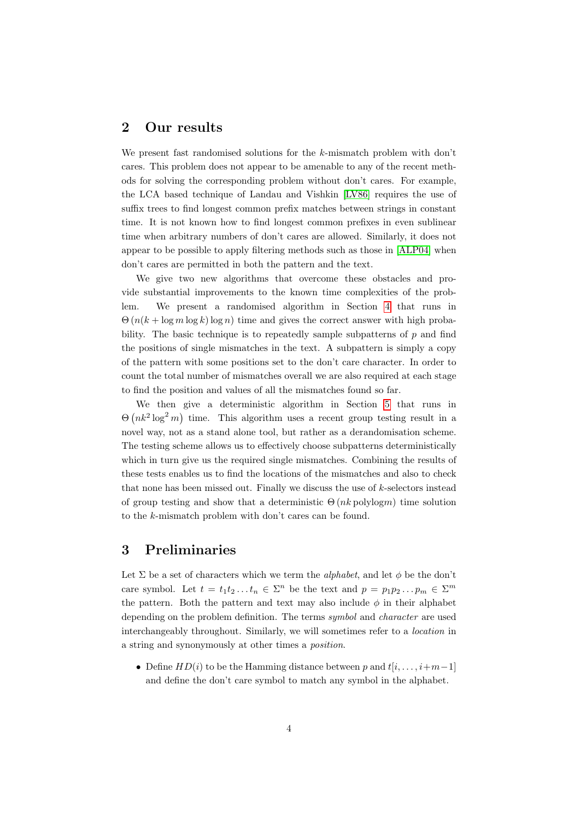## 2 Our results

We present fast randomised solutions for the  $k$ -mismatch problem with don't cares. This problem does not appear to be amenable to any of the recent methods for solving the corresponding problem without don't cares. For example, the LCA based technique of Landau and Vishkin [\[LV86\]](#page-18-3) requires the use of suffix trees to find longest common prefix matches between strings in constant time. It is not known how to find longest common prefixes in even sublinear time when arbitrary numbers of don't cares are allowed. Similarly, it does not appear to be possible to apply filtering methods such as those in [\[ALP04\]](#page-16-4) when don't cares are permitted in both the pattern and the text.

We give two new algorithms that overcome these obstacles and provide substantial improvements to the known time complexities of the problem. We present a randomised algorithm in Section [4](#page-4-0) that runs in  $\Theta(n(k + \log m \log k) \log n)$  time and gives the correct answer with high probability. The basic technique is to repeatedly sample subpatterns of  $p$  and find the positions of single mismatches in the text. A subpattern is simply a copy of the pattern with some positions set to the don't care character. In order to count the total number of mismatches overall we are also required at each stage to find the position and values of all the mismatches found so far.

We then give a deterministic algorithm in Section [5](#page-12-0) that runs in  $\Theta(nk^2\log^2 m)$  time. This algorithm uses a recent group testing result in a novel way, not as a stand alone tool, but rather as a derandomisation scheme. The testing scheme allows us to effectively choose subpatterns deterministically which in turn give us the required single mismatches. Combining the results of these tests enables us to find the locations of the mismatches and also to check that none has been missed out. Finally we discuss the use of k-selectors instead of group testing and show that a deterministic  $\Theta(nk \text{ polylog}m)$  time solution to the k-mismatch problem with don't cares can be found.

### 3 Preliminaries

Let  $\Sigma$  be a set of characters which we term the *alphabet*, and let  $\phi$  be the don't care symbol. Let  $t = t_1 t_2 ... t_n \in \Sigma^n$  be the text and  $p = p_1 p_2 ... p_m \in \Sigma^m$ the pattern. Both the pattern and text may also include  $\phi$  in their alphabet depending on the problem definition. The terms *symbol* and *character* are used interchangeably throughout. Similarly, we will sometimes refer to a location in a string and synonymously at other times a position.

• Define  $HD(i)$  to be the Hamming distance between p and  $t[i, \ldots, i+m-1]$ and define the don't care symbol to match any symbol in the alphabet.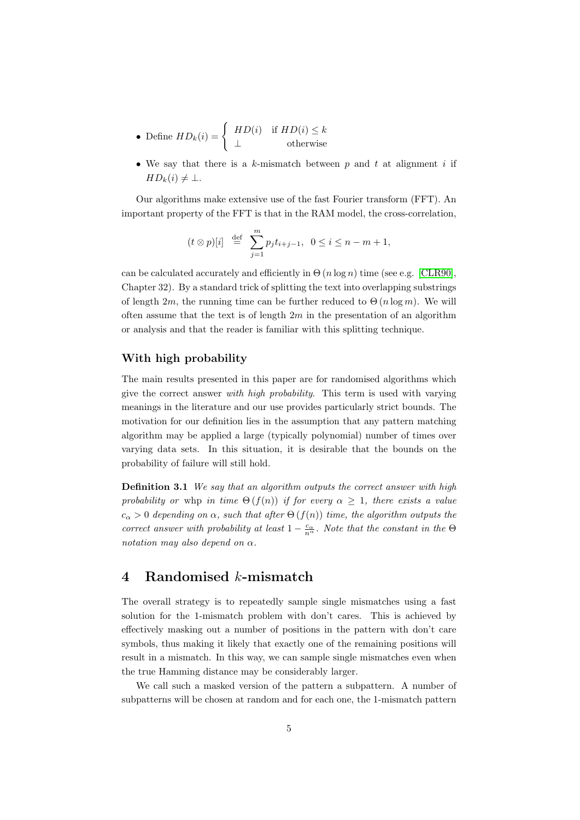- Define  $HD_k(i) = \begin{cases} HD(i) & \text{if } HD(i) \leq k \end{cases}$ ⊥ otherwise
- We say that there is a k-mismatch between  $p$  and  $t$  at alignment  $i$  if  $HD_k(i) \neq \bot.$

Our algorithms make extensive use of the fast Fourier transform (FFT). An important property of the FFT is that in the RAM model, the cross-correlation,

$$
(t \otimes p)[i] \stackrel{\text{def}}{=} \sum_{j=1}^{m} p_j t_{i+j-1}, \ \ 0 \le i \le n-m+1,
$$

can be calculated accurately and efficiently in  $\Theta(n \log n)$  time (see e.g. [\[CLR90\]](#page-17-4), Chapter 32). By a standard trick of splitting the text into overlapping substrings of length 2m, the running time can be further reduced to  $\Theta(n \log m)$ . We will often assume that the text is of length  $2m$  in the presentation of an algorithm or analysis and that the reader is familiar with this splitting technique.

### With high probability

The main results presented in this paper are for randomised algorithms which give the correct answer with high probability. This term is used with varying meanings in the literature and our use provides particularly strict bounds. The motivation for our definition lies in the assumption that any pattern matching algorithm may be applied a large (typically polynomial) number of times over varying data sets. In this situation, it is desirable that the bounds on the probability of failure will still hold.

**Definition 3.1** We say that an algorithm outputs the correct answer with high probability or whp in time  $\Theta(f(n))$  if for every  $\alpha \geq 1$ , there exists a value  $c_{\alpha} > 0$  depending on  $\alpha$ , such that after  $\Theta(f(n))$  time, the algorithm outputs the correct answer with probability at least  $1 - \frac{c_{\alpha}}{n^{\alpha}}$ . Note that the constant in the  $\Theta$ notation may also depend on  $\alpha$ .

## <span id="page-4-0"></span>4 Randomised k-mismatch

The overall strategy is to repeatedly sample single mismatches using a fast solution for the 1-mismatch problem with don't cares. This is achieved by effectively masking out a number of positions in the pattern with don't care symbols, thus making it likely that exactly one of the remaining positions will result in a mismatch. In this way, we can sample single mismatches even when the true Hamming distance may be considerably larger.

We call such a masked version of the pattern a subpattern. A number of subpatterns will be chosen at random and for each one, the 1-mismatch pattern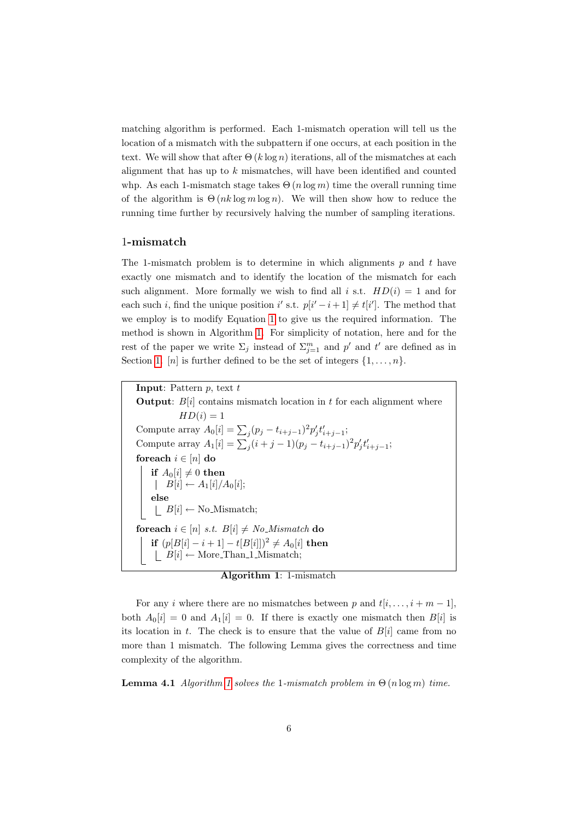matching algorithm is performed. Each 1-mismatch operation will tell us the location of a mismatch with the subpattern if one occurs, at each position in the text. We will show that after  $\Theta(k \log n)$  iterations, all of the mismatches at each alignment that has up to  $k$  mismatches, will have been identified and counted whp. As each 1-mismatch stage takes  $\Theta(n \log m)$  time the overall running time of the algorithm is  $\Theta(nk \log m \log n)$ . We will then show how to reduce the running time further by recursively halving the number of sampling iterations.

#### 1-mismatch

The 1-mismatch problem is to determine in which alignments  $p$  and  $t$  have exactly one mismatch and to identify the location of the mismatch for each such alignment. More formally we wish to find all i s.t.  $HD(i) = 1$  and for each such i, find the unique position i' s.t.  $p[i'-i+1] \neq t[i']$ . The method that we employ is to modify Equation [1](#page-1-1) to give us the required information. The method is shown in Algorithm [1.](#page-5-0) For simplicity of notation, here and for the rest of the paper we write  $\Sigma_j$  instead of  $\Sigma_{j=1}^m$  and  $p'$  and  $t'$  are defined as in Section [1.](#page-1-2) [n] is further defined to be the set of integers  $\{1, \ldots, n\}$ .

<span id="page-5-0"></span>**Input:** Pattern  $p$ , text  $t$ **Output:**  $B[i]$  contains mismatch location in t for each alignment where  $HD(i) = 1$ Compute array  $A_0[i] = \sum_j (p_j - t_{i+j-1})^2 p'_j t'_{i+j-1};$ Compute array  $A_1[i] = \sum_j (i+j-1)(p_j - t_{i+j-1})^2 p'_j t'_{i+j-1};$ foreach  $i \in [n]$  do  $\mathbf{if}\,\,A_0[i]\neq 0\,\,\mathbf{then}$  $B[i] \leftarrow A_1[i]/A_0[i];$ else  $\lfloor B[i] \leftarrow$  No\_Mismatch; foreach  $i \in [n]$  s.t.  $B[i] \neq No$ *Mismatch* do **if**  $(p[B[i] - i + 1] - t[B[i]])^2 ≠ A_0[i]$  then  $|B[i] \leftarrow \text{More\_Then\_1\_Mismatch};$ 

Algorithm 1: 1-mismatch

For any i where there are no mismatches between p and  $t[i, \ldots, i + m - 1]$ , both  $A_0[i] = 0$  and  $A_1[i] = 0$ . If there is exactly one mismatch then  $B[i]$  is its location in t. The check is to ensure that the value of  $B[i]$  came from no more than 1 mismatch. The following Lemma gives the correctness and time complexity of the algorithm.

**Lemma 4.1** Algorithm [1](#page-5-0) solves the 1-mismatch problem in  $\Theta(n \log m)$  time.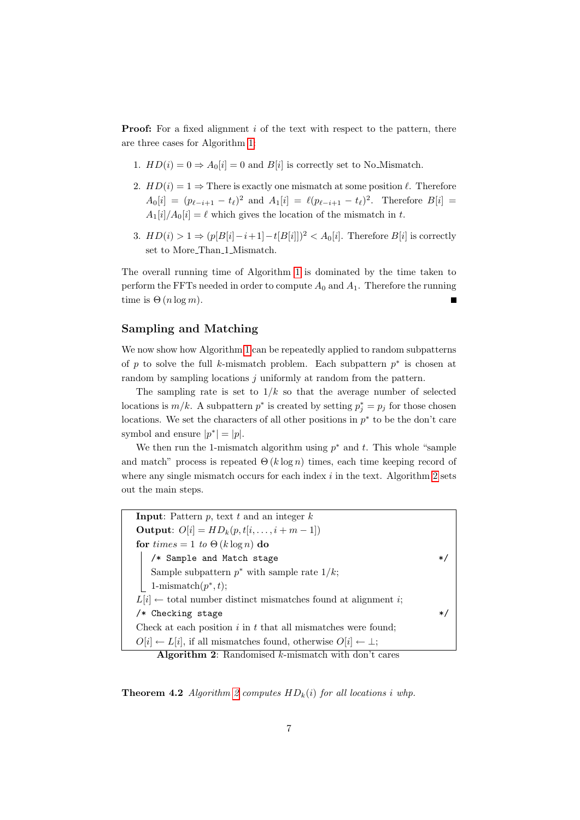**Proof:** For a fixed alignment i of the text with respect to the pattern, there are three cases for Algorithm [1:](#page-5-0)

- 1.  $HD(i) = 0 \Rightarrow A_0[i] = 0$  and  $B[i]$  is correctly set to No\_Mismatch.
- 2.  $HD(i) = 1 \Rightarrow$  There is exactly one mismatch at some position  $\ell$ . Therefore  $A_0[i] = (p_{\ell-i+1} - t_{\ell})^2$  and  $A_1[i] = \ell(p_{\ell-i+1} - t_{\ell})^2$ . Therefore  $B[i] =$  $A_1[i]/A_0[i] = \ell$  which gives the location of the mismatch in t.
- 3.  $HD(i) > 1 \Rightarrow (p[B[i] i + 1] t[B[i]])^2 < A_0[i]$ . Therefore  $B[i]$  is correctly set to More\_Than\_1\_Mismatch.

The overall running time of Algorithm [1](#page-5-0) is dominated by the time taken to perform the FFTs needed in order to compute  $A_0$  and  $A_1$ . Therefore the running time is  $\Theta(n \log m)$ .

### Sampling and Matching

We now show how Algorithm [1](#page-5-0) can be repeatedly applied to random subpatterns of p to solve the full k-mismatch problem. Each subpattern  $p^*$  is chosen at random by sampling locations  $j$  uniformly at random from the pattern.

The sampling rate is set to  $1/k$  so that the average number of selected locations is  $m/k$ . A subpattern  $p^*$  is created by setting  $p_j^* = p_j$  for those chosen locations. We set the characters of all other positions in  $p^*$  to be the don't care symbol and ensure  $|p^*| = |p|$ .

We then run the 1-mismatch algorithm using  $p^*$  and  $t$ . This whole "sample" and match" process is repeated  $\Theta(k \log n)$  times, each time keeping record of where any single mismatch occurs for each index  $i$  in the text. Algorithm [2](#page-6-0) sets out the main steps.

<span id="page-6-0"></span>**Input:** Pattern  $p$ , text  $t$  and an integer  $k$ **Output**:  $O[i] = HD_k(p, t[i, \ldots, i + m - 1])$ for  $times = 1$  to  $\Theta(k \log n)$  do /\* Sample and Match stage \*/ Sample subpattern  $p^*$  with sample rate  $1/k$ ; 1-mismatch $(p^*, t)$ ;  $L[i] \leftarrow$  total number distinct mismatches found at alignment *i*;  $/*$  Checking stage  $*/$ Check at each position  $i$  in  $t$  that all mismatches were found;  $O[i] \leftarrow L[i]$ , if all mismatches found, otherwise  $O[i] \leftarrow \perp$ ; Algorithm 2: Randomised k-mismatch with don't cares

**Theorem 4.2** Algorithm [2](#page-6-0) computes  $HD_k(i)$  for all locations i whp.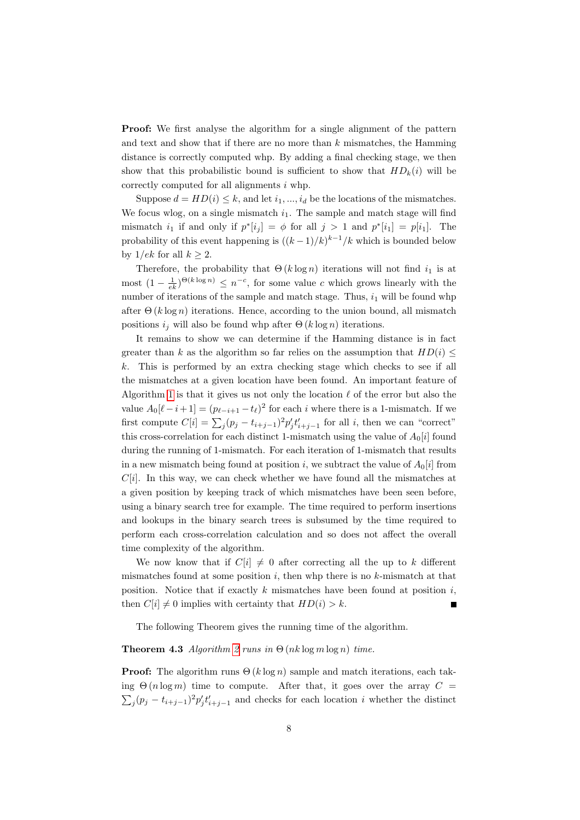Proof: We first analyse the algorithm for a single alignment of the pattern and text and show that if there are no more than  $k$  mismatches, the Hamming distance is correctly computed whp. By adding a final checking stage, we then show that this probabilistic bound is sufficient to show that  $HD_k(i)$  will be correctly computed for all alignments  $i$  whp.

Suppose  $d = HD(i) \leq k$ , and let  $i_1, ..., i_d$  be the locations of the mismatches. We focus wlog, on a single mismatch  $i_1$ . The sample and match stage will find mismatch  $i_1$  if and only if  $p^*[i_j] = \phi$  for all  $j > 1$  and  $p^*[i_1] = p[i_1]$ . The probability of this event happening is  $((k-1)/k)^{k-1}/k$  which is bounded below by  $1/ek$  for all  $k > 2$ .

Therefore, the probability that  $\Theta(k \log n)$  iterations will not find  $i_1$  is at most  $(1 - \frac{1}{ek})^{\Theta(k \log n)} \leq n^{-c}$ , for some value c which grows linearly with the number of iterations of the sample and match stage. Thus,  $i_1$  will be found whp after  $\Theta(k \log n)$  iterations. Hence, according to the union bound, all mismatch positions  $i_j$  will also be found whp after  $\Theta(k \log n)$  iterations.

It remains to show we can determine if the Hamming distance is in fact greater than k as the algorithm so far relies on the assumption that  $HD(i)$  <  $k$ . This is performed by an extra checking stage which checks to see if all the mismatches at a given location have been found. An important feature of Algorithm [1](#page-5-0) is that it gives us not only the location  $\ell$  of the error but also the value  $A_0[\ell-i+1] = (p_{\ell-i+1} - t_\ell)^2$  for each i where there is a 1-mismatch. If we first compute  $C[i] = \sum_j (p_j - t_{i+j-1})^2 p'_j t'_{i+j-1}$  for all *i*, then we can "correct" this cross-correlation for each distinct 1-mismatch using the value of  $A_0[i]$  found during the running of 1-mismatch. For each iteration of 1-mismatch that results in a new mismatch being found at position i, we subtract the value of  $A_0[i]$  from  $C[i]$ . In this way, we can check whether we have found all the mismatches at a given position by keeping track of which mismatches have been seen before, using a binary search tree for example. The time required to perform insertions and lookups in the binary search trees is subsumed by the time required to perform each cross-correlation calculation and so does not affect the overall time complexity of the algorithm.

We now know that if  $C[i] \neq 0$  after correcting all the up to k different mismatches found at some position i, then whp there is no  $k$ -mismatch at that position. Notice that if exactly  $k$  mismatches have been found at position  $i$ , then  $C[i] \neq 0$  implies with certainty that  $HD(i) > k$ .

The following Theorem gives the running time of the algorithm.

**Theorem 4.3** Algorithm [2](#page-6-0) runs in  $\Theta(nk \log m \log n)$  time.

**Proof:** The algorithm runs  $\Theta(k \log n)$  sample and match iterations, each taking  $\Theta(n \log m)$  time to compute. After that, it goes over the array  $C =$  $\sum_j (p_j - t_{i+j-1})^2 p'_j t'_{i+j-1}$  and checks for each location i whether the distinct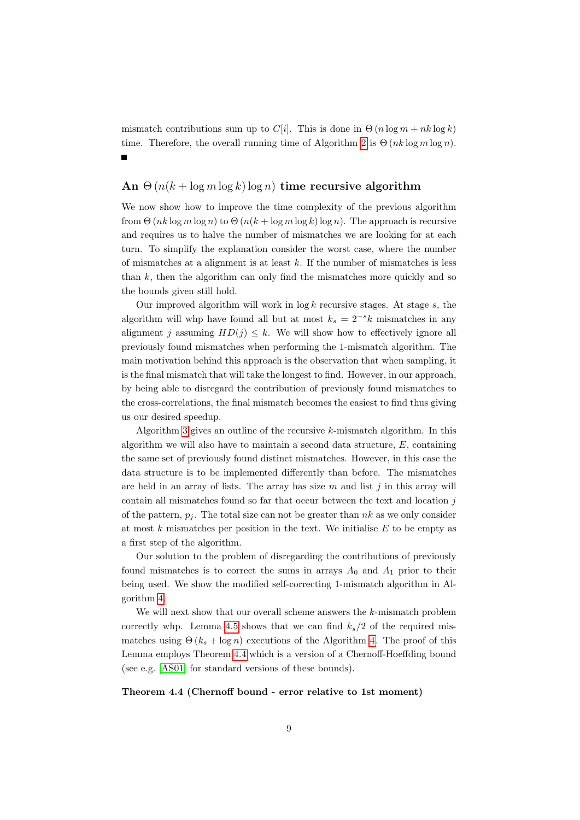mismatch contributions sum up to  $C[i]$ . This is done in  $\Theta(n \log m + nk \log k)$ time. Therefore, the overall running time of Algorithm [2](#page-6-0) is  $\Theta(nk \log m \log n)$ .

### An  $\Theta(n(k + \log m \log k) \log n)$  time recursive algorithm

We now show how to improve the time complexity of the previous algorithm from  $\Theta$  ( $nk \log m \log n$ ) to  $\Theta$  ( $n(k + \log m \log k) \log n$ ). The approach is recursive and requires us to halve the number of mismatches we are looking for at each turn. To simplify the explanation consider the worst case, where the number of mismatches at a alignment is at least  $k$ . If the number of mismatches is less than  $k$ , then the algorithm can only find the mismatches more quickly and so the bounds given still hold.

Our improved algorithm will work in  $\log k$  recursive stages. At stage s, the algorithm will whp have found all but at most  $k_s = 2^{-s}k$  mismatches in any alignment j assuming  $HD(j) \leq k$ . We will show how to effectively ignore all previously found mismatches when performing the 1-mismatch algorithm. The main motivation behind this approach is the observation that when sampling, it is the final mismatch that will take the longest to find. However, in our approach, by being able to disregard the contribution of previously found mismatches to the cross-correlations, the final mismatch becomes the easiest to find thus giving us our desired speedup.

Algorithm [3](#page-8-0) gives an outline of the recursive  $k$ -mismatch algorithm. In this algorithm we will also have to maintain a second data structure,  $E$ , containing the same set of previously found distinct mismatches. However, in this case the data structure is to be implemented differently than before. The mismatches are held in an array of lists. The array has size  $m$  and list  $j$  in this array will contain all mismatches found so far that occur between the text and location  $j$ of the pattern,  $p_i$ . The total size can not be greater than  $nk$  as we only consider at most  $k$  mismatches per position in the text. We initialise  $E$  to be empty as a first step of the algorithm.

<span id="page-8-0"></span>Our solution to the problem of disregarding the contributions of previously found mismatches is to correct the sums in arrays  $A_0$  and  $A_1$  prior to their being used. We show the modified self-correcting 1-mismatch algorithm in Algorithm [4.](#page-8-1)

<span id="page-8-1"></span>We will next show that our overall scheme answers the  $k$ -mismatch problem correctly whp. Lemma [4.5](#page-10-0) shows that we can find  $k_s/2$  of the required mismatches using  $\Theta(k_s + \log n)$  executions of the Algorithm [4.](#page-8-1) The proof of this Lemma employs Theorem [4.4](#page-8-2) which is a version of a Chernoff-Hoeffding bound (see e.g. [\[AS01\]](#page-16-7) for standard versions of these bounds).

#### <span id="page-8-2"></span>Theorem 4.4 (Chernoff bound - error relative to 1st moment)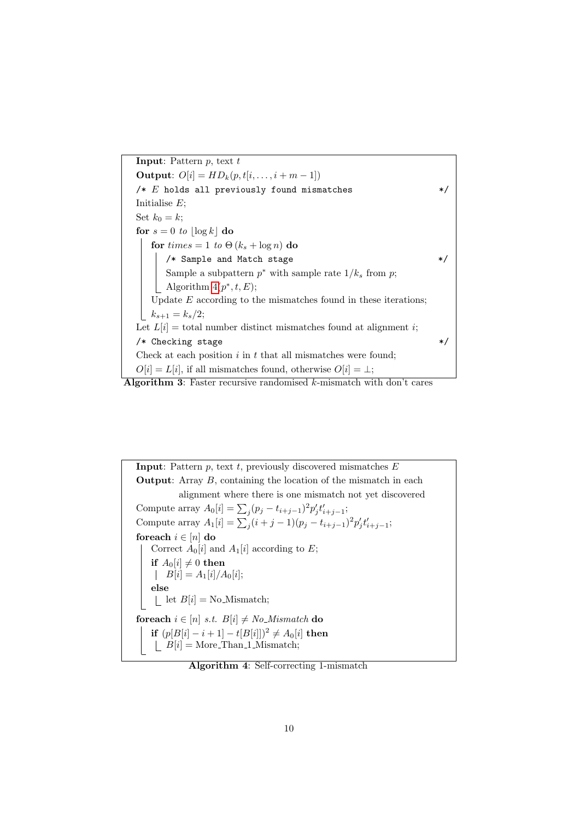**Input:** Pattern  $p$ , text  $t$ Output:  $O[i] = HD_k(p, t[i, \ldots, i + m - 1])$  $/* E$  holds all previously found mismatches  $*$  / Initialise  $E$ ; Set  $k_0 = k$ ; for  $s = 0$  to  $\log k$  do for times = 1 to  $\Theta(k_s + \log n)$  do /\* Sample and Match stage \*/ Sample a subpattern  $p^*$  with sample rate  $1/k_s$  from p; Algorithm  $4(p^*, t, E);$ Update  $E$  according to the mismatches found in these iterations;  $k_{s+1} = k_s/2;$ Let  $L[i]$  = total number distinct mismatches found at alignment *i*;  $/*$  Checking stage  $*/$ Check at each position  $i$  in  $t$  that all mismatches were found;  $O[i] = L[i]$ , if all mismatches found, otherwise  $O[i] = \perp$ ;

Algorithm 3: Faster recursive randomised k-mismatch with don't cares

**Input:** Pattern  $p$ , text  $t$ , previously discovered mismatches  $E$ Output: Array B, containing the location of the mismatch in each alignment where there is one mismatch not yet discovered Compute array  $A_0[i] = \sum_j (p_j - t_{i+j-1})^2 p'_j t'_{i+j-1};$ Compute array  $A_1[i] = \sum_j (i+j-1)(p_j - t_{i+j-1})^2 p'_j t'_{i+j-1};$ foreach  $i \in [n]$ do Correct  $A_0[i]$  and  $A_1[i]$  according to E; if  $A_0[i] \neq 0$  then  $B[i] = A_1[i]/A_0[i];$ else | let  $B[i] = \text{No}\_$ Mismatch; foreach  $i \in [n]$  s.t.  $B[i] \neq No$ -Mismatch do **if**  $(p[B[i] - i + 1] - t[B[i]])^2 ≠ A_0[i]$  then  $B[i] = \text{More\_than\_1\_Mismatch};$ 

Algorithm 4: Self-correcting 1-mismatch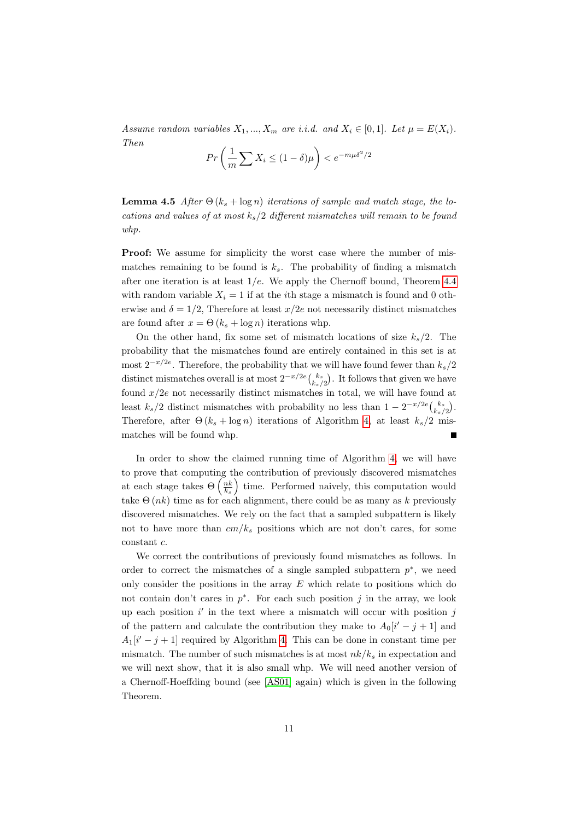Assume random variables  $X_1, ..., X_m$  are i.i.d. and  $X_i \in [0,1]$ . Let  $\mu = E(X_i)$ . Then

$$
Pr\left(\frac{1}{m}\sum X_i \le (1-\delta)\mu\right) < e^{-m\mu\delta^2/2}
$$

<span id="page-10-0"></span>**Lemma 4.5** After  $\Theta(k_s + \log n)$  iterations of sample and match stage, the locations and values of at most  $k_s/2$  different mismatches will remain to be found whp.

Proof: We assume for simplicity the worst case where the number of mismatches remaining to be found is  $k_s$ . The probability of finding a mismatch after one iteration is at least  $1/e$ . We apply the Chernoff bound, Theorem [4.4](#page-8-2) with random variable  $X_i = 1$  if at the *i*th stage a mismatch is found and 0 otherwise and  $\delta = 1/2$ , Therefore at least  $x/2e$  not necessarily distinct mismatches are found after  $x = \Theta(k_s + \log n)$  iterations whp.

On the other hand, fix some set of mismatch locations of size  $k_s/2$ . The probability that the mismatches found are entirely contained in this set is at most  $2^{-x/2e}$ . Therefore, the probability that we will have found fewer than  $k_s/2$ distinct mismatches overall is at most  $2^{-x/2e} \binom{k_s}{k_s/2}$ . It follows that given we have found  $x/2e$  not necessarily distinct mismatches in total, we will have found at least  $k_s/2$  distinct mismatches with probability no less than  $1 - 2^{-x/2e} \binom{k_s}{k_s/2}$ . Therefore, after  $\Theta(k_s + \log n)$  iterations of Algorithm [4,](#page-8-1) at least  $k_s/2$  mismatches will be found whp.

In order to show the claimed running time of Algorithm [4,](#page-8-1) we will have to prove that computing the contribution of previously discovered mismatches at each stage takes  $\Theta\left(\frac{nk}{k_s}\right)$  time. Performed naively, this computation would take  $\Theta(nk)$  time as for each alignment, there could be as many as k previously discovered mismatches. We rely on the fact that a sampled subpattern is likely not to have more than  $cm/k<sub>s</sub>$  positions which are not don't cares, for some constant c.

<span id="page-10-1"></span>We correct the contributions of previously found mismatches as follows. In order to correct the mismatches of a single sampled subpattern  $p^*$ , we need only consider the positions in the array  $E$  which relate to positions which do not contain don't cares in  $p^*$ . For each such position j in the array, we look up each position  $i'$  in the text where a mismatch will occur with position  $j$ of the pattern and calculate the contribution they make to  $A_0[i'-j+1]$  and  $A_1[i'-j+1]$  required by Algorithm [4.](#page-8-1) This can be done in constant time per mismatch. The number of such mismatches is at most  $nk/k<sub>s</sub>$  in expectation and we will next show, that it is also small whp. We will need another version of a Chernoff-Hoeffding bound (see [\[AS01\]](#page-16-7) again) which is given in the following Theorem.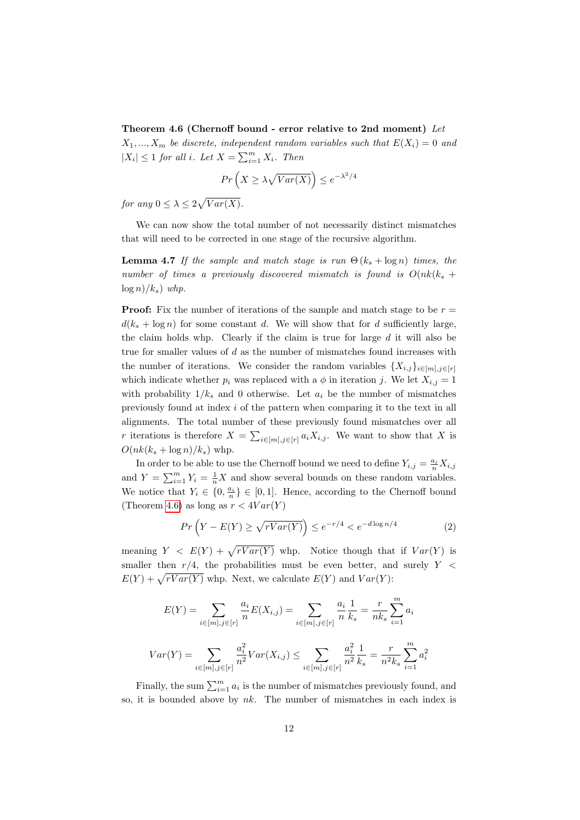#### Theorem 4.6 (Chernoff bound - error relative to 2nd moment) Let

 $X_1, ..., X_m$  be discrete, independent random variables such that  $E(X_i) = 0$  and  $|X_i| \leq 1$  for all i. Let  $X = \sum_{i=1}^m X_i$ . Then

$$
Pr\left(X \ge \lambda \sqrt{Var(X)}\right) \le e^{-\lambda^2/4}
$$

for any  $0 \leq \lambda \leq 2\sqrt{Var(X)}$ .

We can now show the total number of not necessarily distinct mismatches that will need to be corrected in one stage of the recursive algorithm.

<span id="page-11-1"></span>**Lemma 4.7** If the sample and match stage is run  $\Theta(k_s + \log n)$  times, the number of times a previously discovered mismatch is found is  $O(nk(k<sub>s</sub> +$  $\log n/k_s$ ) whp.

**Proof:** Fix the number of iterations of the sample and match stage to be  $r =$  $d(k_s + \log n)$  for some constant d. We will show that for d sufficiently large, the claim holds whp. Clearly if the claim is true for large  $d$  it will also be true for smaller values of d as the number of mismatches found increases with the number of iterations. We consider the random variables  $\{X_{i,j}\}_{i\in[m],j\in[r]}$ which indicate whether  $p_i$  was replaced with a  $\phi$  in iteration j. We let  $X_{i,j} = 1$ with probability  $1/k_s$  and 0 otherwise. Let  $a_i$  be the number of mismatches previously found at index i of the pattern when comparing it to the text in all alignments. The total number of these previously found mismatches over all r iterations is therefore  $X = \sum_{i \in [m], j \in [r]} a_i X_{i,j}$ . We want to show that X is  $O(nk(k_s + \log n)/k_s)$  whp.

In order to be able to use the Chernoff bound we need to define  $Y_{i,j} = \frac{a_i}{n} X_{i,j}$ and  $Y = \sum_{i=1}^{m} Y_i = \frac{1}{n} X$  and show several bounds on these random variables. We notice that  $Y_i \in \{0, \frac{a_i}{n}\}\in [0,1]$ . Hence, according to the Chernoff bound (Theorem [4.6\)](#page-10-1) as long as  $r < 4Var(Y)$ 

<span id="page-11-0"></span>
$$
Pr\left(Y - E(Y) \ge \sqrt{rVar(Y)}\right) \le e^{-r/4} < e^{-d\log n/4} \tag{2}
$$

meaning  $Y \leq E(Y) + \sqrt{rVar(Y)}$  whp. Notice though that if  $Var(Y)$  is smaller then  $r/4$ , the probabilities must be even better, and surely  $Y \leq$  $E(Y) + \sqrt{rVar(Y)}$  whp. Next, we calculate  $E(Y)$  and  $Var(Y)$ :

$$
E(Y) = \sum_{i \in [m], j \in [r]} \frac{a_i}{n} E(X_{i,j}) = \sum_{i \in [m], j \in [r]} \frac{a_i}{n} \frac{1}{k_s} = \frac{r}{nk_s} \sum_{i=1}^m a_i
$$
  

$$
Var(Y) = \sum_{i \in [m], j \in [r]} \frac{a_i^2}{n^2} Var(X_{i,j}) \le \sum_{i \in [m], j \in [r]} \frac{a_i^2}{n^2} \frac{1}{k_s} = \frac{r}{n^2 k_s} \sum_{i=1}^m a_i^2
$$

Finally, the sum  $\sum_{i=1}^{m} a_i$  is the number of mismatches previously found, and so, it is bounded above by  $nk$ . The number of mismatches in each index is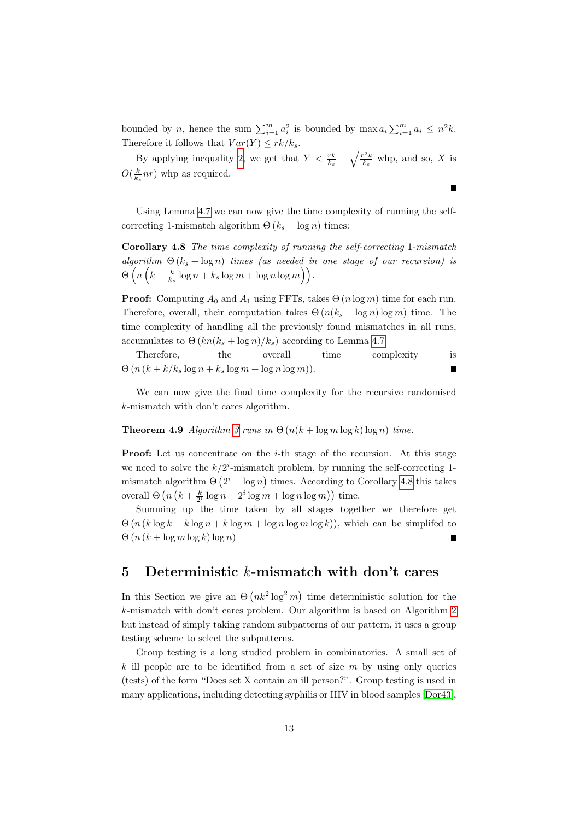bounded by *n*, hence the sum  $\sum_{i=1}^{m} a_i^2$  is bounded by max  $a_i \sum_{i=1}^{m} a_i \leq n^2 k$ . Therefore it follows that  $Var(Y) \leq rk/k_s$ .

By applying inequality [2,](#page-11-0) we get that  $Y < \frac{rk}{k_s} + \sqrt{\frac{r^2 k}{k_s}}$  whp, and so, X is  $O(\frac{k}{k_s}nr)$  whp as required.

<span id="page-12-1"></span>Using Lemma [4.7](#page-11-1) we can now give the time complexity of running the selfcorrecting 1-mismatch algorithm  $\Theta(k_s + \log n)$  times:

Corollary 4.8 The time complexity of running the self-correcting 1-mismatch algorithm  $\Theta(k_s + \log n)$  times (as needed in one stage of our recursion) is  $\Theta\left(n\left(k+\frac{k}{k_s}\log n+k_s\log m+\log n\log m\right)\right).$ 

**Proof:** Computing  $A_0$  and  $A_1$  using FFTs, takes  $\Theta(n \log m)$  time for each run. Therefore, overall, their computation takes  $\Theta(n(k_s + \log n) \log m)$  time. The time complexity of handling all the previously found mismatches in all runs, accumulates to  $\Theta(kn(k_s + \log n)/k_s)$  according to Lemma [4.7.](#page-11-1)

Therefore, the overall time complexity is  $\Theta(n (k + k/k_s \log n + k_s \log m + \log n \log m)).$  $\blacksquare$ 

We can now give the final time complexity for the recursive randomised k-mismatch with don't cares algorithm.

**Theorem 4.9** Algorithm [3](#page-8-0) runs in  $\Theta(n(k + \log m \log k) \log n)$  time.

**Proof:** Let us concentrate on the  $i$ -th stage of the recursion. At this stage we need to solve the  $k/2^i$ -mismatch problem, by running the self-correcting 1mismatch algorithm  $\Theta(2^i + \log n)$  times. According to Corollary [4.8](#page-12-1) this takes overall  $\Theta\left(n\left(k+\frac{k}{2^i}\log n+2^i\log m+\log n\log m\right)\right)$  time.

Summing up the time taken by all stages together we therefore get  $\Theta(n (k \log k + k \log n + k \log m + \log n \log m \log k))$ , which can be simplifed to  $\Theta(n (k + \log m \log k) \log n)$ 

### <span id="page-12-0"></span>5 Deterministic k-mismatch with don't cares

In this Section we give an  $\Theta(nk^2 \log^2 m)$  time deterministic solution for the k-mismatch with don't cares problem. Our algorithm is based on Algorithm [2](#page-6-0) but instead of simply taking random subpatterns of our pattern, it uses a group testing scheme to select the subpatterns.

Group testing is a long studied problem in combinatorics. A small set of k ill people are to be identified from a set of size  $m$  by using only queries (tests) of the form "Does set X contain an ill person?". Group testing is used in many applications, including detecting syphilis or HIV in blood samples [\[Dor43\]](#page-17-5),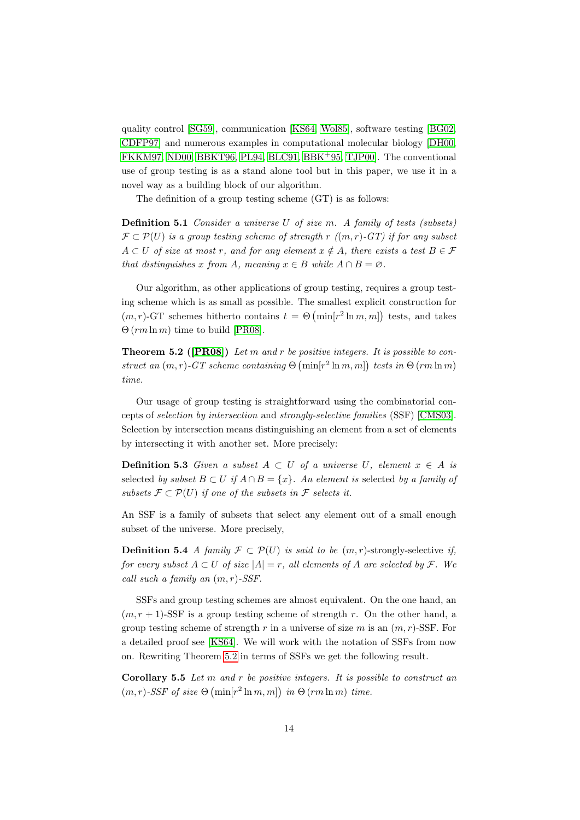quality control [\[SG59\]](#page-18-6), communication [\[KS64,](#page-18-7) [Wol85\]](#page-18-8), software testing [\[BG02,](#page-16-8) [CDFP97\]](#page-16-9) and numerous examples in computational molecular biology [\[DH00,](#page-17-6) [FKKM97,](#page-17-7) [ND00,](#page-18-9) [BBKT96,](#page-16-10) [PL94,](#page-18-10) [BLC91,](#page-16-11) [BBK](#page-16-12)+95, [TJP00\]](#page-18-11). The conventional use of group testing is as a stand alone tool but in this paper, we use it in a novel way as a building block of our algorithm.

The definition of a group testing scheme (GT) is as follows:

Definition 5.1 Consider a universe U of size m. A family of tests (subsets)  $\mathcal{F} \subset \mathcal{P}(U)$  is a group testing scheme of strength r  $((m, r)$ -GT) if for any subset  $A \subset U$  of size at most r, and for any element  $x \notin A$ , there exists a test  $B \in \mathcal{F}$ that distinguishes x from A, meaning  $x \in B$  while  $A \cap B = \emptyset$ .

Our algorithm, as other applications of group testing, requires a group testing scheme which is as small as possible. The smallest explicit construction for  $(m, r)$ -GT schemes hitherto contains  $t = \Theta(\min[r^2 \ln m, m])$  tests, and takes  $\Theta$  (rm ln m) time to build [\[PR08\]](#page-18-12).

<span id="page-13-0"></span>**Theorem 5.2** ([\[PR08\]](#page-18-12)) Let m and r be positive integers. It is possible to construct an  $(m, r)$ -GT scheme containing  $\Theta$  (min $[r^2 \ln m, m]$ ) tests in  $\Theta$  (rm  $\ln m$ ) time.

Our usage of group testing is straightforward using the combinatorial concepts of selection by intersection and strongly-selective families (SSF) [\[CMS03\]](#page-17-8). Selection by intersection means distinguishing an element from a set of elements by intersecting it with another set. More precisely:

**Definition 5.3** Given a subset  $A \subset U$  of a universe U, element  $x \in A$  is selected by subset  $B \subset U$  if  $A \cap B = \{x\}$ . An element is selected by a family of subsets  $\mathcal{F} \subset \mathcal{P}(U)$  if one of the subsets in  $\mathcal{F}$  selects it.

An SSF is a family of subsets that select any element out of a small enough subset of the universe. More precisely,

**Definition 5.4** A family  $\mathcal{F} \subset \mathcal{P}(U)$  is said to be  $(m, r)$ -strongly-selective if, for every subset  $A \subset U$  of size  $|A| = r$ , all elements of A are selected by F. We call such a family an  $(m, r)$ -SSF.

SSFs and group testing schemes are almost equivalent. On the one hand, an  $(m, r + 1)$ -SSF is a group testing scheme of strength r. On the other hand, a group testing scheme of strength r in a universe of size m is an  $(m, r)$ -SSF. For a detailed proof see [\[KS64\]](#page-18-7). We will work with the notation of SSFs from now on. Rewriting Theorem [5.2](#page-13-0) in terms of SSFs we get the following result.

**Corollary 5.5** Let  $m$  and  $r$  be positive integers. It is possible to construct an  $(m, r)$ -SSF of size  $\Theta$  (min $[r^2 \ln m, m]$ ) in  $\Theta$  (rm  $\ln m$ ) time.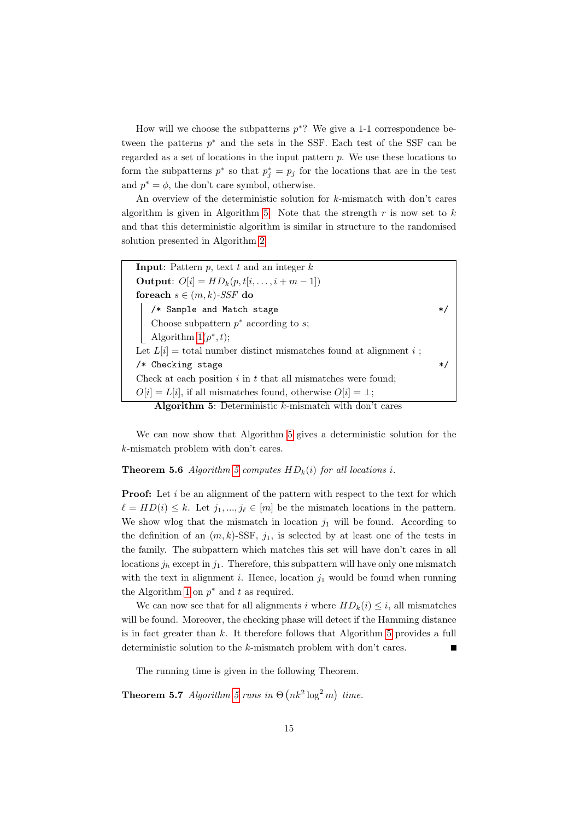How will we choose the subpatterns  $p^*$ ? We give a 1-1 correspondence between the patterns p <sup>∗</sup> and the sets in the SSF. Each test of the SSF can be regarded as a set of locations in the input pattern  $p$ . We use these locations to form the subpatterns  $p^*$  so that  $p_j^* = p_j$  for the locations that are in the test and  $p^* = \phi$ , the don't care symbol, otherwise.

An overview of the deterministic solution for  $k$ -mismatch with don't cares algorithm is given in Algorithm [5.](#page-14-0) Note that the strength  $r$  is now set to  $k$ and that this deterministic algorithm is similar in structure to the randomised solution presented in Algorithm [2.](#page-6-0)

<span id="page-14-0"></span>

| <b>Input:</b> Pattern $p$ , text $t$ and an integer $k$                   |       |
|---------------------------------------------------------------------------|-------|
| <b>Output:</b> $O[i] = HD_k(p, t[i, \ldots, i + m - 1])$                  |       |
| for each $s \in (m, k)$ -SSF do                                           |       |
| /* Sample and Match stage                                                 |       |
| Choose subpattern $p^*$ according to s;                                   |       |
| Algorithm $1(p^*, t)$ ;                                                   |       |
| Let $L[i]$ = total number distinct mismatches found at alignment i;       |       |
| /* Checking stage                                                         | $*$ / |
| Check at each position $i$ in $t$ that all mismatches were found;         |       |
| $O[i] = L[i]$ , if all mismatches found, otherwise $O[i] = \perp$ ;       |       |
| $\Lambda$ locarithm $\bar{z}$ . Deterministie k mismateh with den't earns |       |

**Algorithm 5:** Deterministic  $k$ -mismatch with don't cares

We can now show that Algorithm [5](#page-14-0) gives a deterministic solution for the k-mismatch problem with don't cares.

#### **Theorem [5](#page-14-0).6** Algorithm 5 computes  $HD_k(i)$  for all locations i.

**Proof:** Let  $i$  be an alignment of the pattern with respect to the text for which  $\ell = HD(i) \leq k$ . Let  $j_1, ..., j_\ell \in [m]$  be the mismatch locations in the pattern. We show wlog that the mismatch in location  $j_1$  will be found. According to the definition of an  $(m, k)$ -SSF,  $j_1$ , is selected by at least one of the tests in the family. The subpattern which matches this set will have don't cares in all locations  $j_h$  except in  $j_1$ . Therefore, this subpattern will have only one mismatch with the text in alignment *i*. Hence, location  $j_1$  would be found when running the Algorithm [1](#page-5-0) on  $p^*$  and t as required.

We can now see that for all alignments i where  $HD_k(i) \leq i$ , all mismatches will be found. Moreover, the checking phase will detect if the Hamming distance is in fact greater than  $k$ . It therefore follows that Algorithm [5](#page-14-0) provides a full deterministic solution to the k-mismatch problem with don't cares.

The running time is given in the following Theorem.

**Theorem [5](#page-14-0).7** Algorithm 5 runs in  $\Theta(nk^2 \log^2 m)$  time.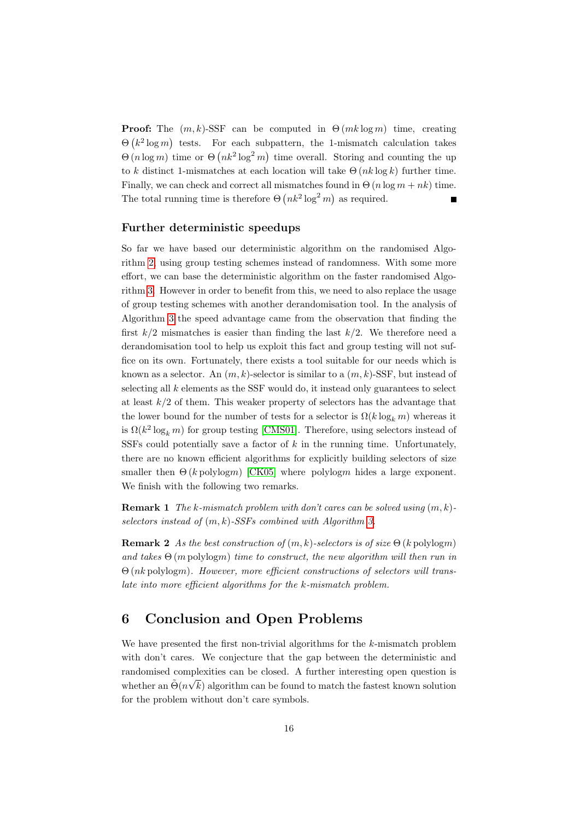**Proof:** The  $(m, k)$ -SSF can be computed in  $\Theta(mk \log m)$  time, creating  $\Theta(k^2 \log m)$  tests. For each subpattern, the 1-mismatch calculation takes  $\Theta(n \log m)$  time or  $\Theta(n k^2 \log^2 m)$  time overall. Storing and counting the up to k distinct 1-mismatches at each location will take  $\Theta(nk \log k)$  further time. Finally, we can check and correct all mismatches found in  $\Theta(n \log m + nk)$  time. The total running time is therefore  $\Theta(nk^2 \log^2 m)$  as required.

### Further deterministic speedups

So far we have based our deterministic algorithm on the randomised Algorithm [2,](#page-6-0) using group testing schemes instead of randomness. With some more effort, we can base the deterministic algorithm on the faster randomised Algorithm [3.](#page-8-0) However in order to benefit from this, we need to also replace the usage of group testing schemes with another derandomisation tool. In the analysis of Algorithm [3](#page-8-0) the speed advantage came from the observation that finding the first  $k/2$  mismatches is easier than finding the last  $k/2$ . We therefore need a derandomisation tool to help us exploit this fact and group testing will not suffice on its own. Fortunately, there exists a tool suitable for our needs which is known as a selector. An  $(m, k)$ -selector is similar to a  $(m, k)$ -SSF, but instead of selecting all  $k$  elements as the SSF would do, it instead only guarantees to select at least  $k/2$  of them. This weaker property of selectors has the advantage that the lower bound for the number of tests for a selector is  $\Omega(k \log_k m)$  whereas it is  $\Omega(k^2 \log_k m)$  for group testing [\[CMS01\]](#page-17-9). Therefore, using selectors instead of SSFs could potentially save a factor of  $k$  in the running time. Unfortunately, there are no known efficient algorithms for explicitly building selectors of size smaller then  $\Theta(k \text{ polylog}m)$  [\[CK05\]](#page-17-10) where polylogm hides a large exponent. We finish with the following two remarks.

**Remark 1** The k-mismatch problem with don't cares can be solved using  $(m, k)$ selectors instead of  $(m, k)$ -SSFs combined with Algorithm [3.](#page-8-0)

**Remark 2** As the best construction of  $(m, k)$ -selectors is of size  $\Theta$  (k polylogm) and takes  $\Theta$  (m polylogm) time to construct, the new algorithm will then run in Θ (nk polylogm). However, more efficient constructions of selectors will translate into more efficient algorithms for the k-mismatch problem.

## 6 Conclusion and Open Problems

We have presented the first non-trivial algorithms for the  $k$ -mismatch problem with don't cares. We conjecture that the gap between the deterministic and randomised complexities can be closed. A further interesting open question is √ whether an  $\tilde{\Theta}(n\sqrt{k})$  algorithm can be found to match the fastest known solution for the problem without don't care symbols.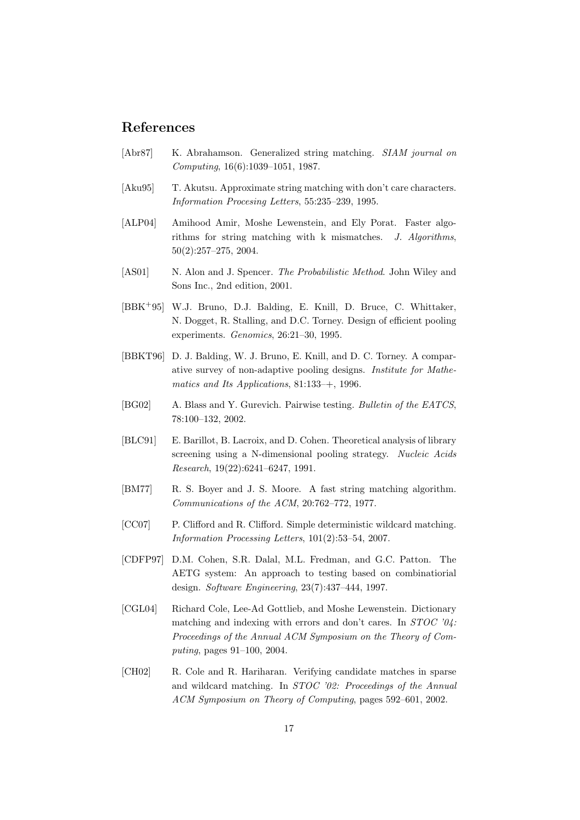## References

- <span id="page-16-3"></span>[Abr87] K. Abrahamson. Generalized string matching. SIAM journal on Computing, 16(6):1039–1051, 1987.
- <span id="page-16-5"></span>[Aku95] T. Akutsu. Approximate string matching with don't care characters. Information Procesing Letters, 55:235–239, 1995.
- <span id="page-16-4"></span>[ALP04] Amihood Amir, Moshe Lewenstein, and Ely Porat. Faster algorithms for string matching with k mismatches. J. Algorithms, 50(2):257–275, 2004.
- <span id="page-16-7"></span>[AS01] N. Alon and J. Spencer. The Probabilistic Method. John Wiley and Sons Inc., 2nd edition, 2001.
- <span id="page-16-12"></span>[BBK+95] W.J. Bruno, D.J. Balding, E. Knill, D. Bruce, C. Whittaker, N. Dogget, R. Stalling, and D.C. Torney. Design of efficient pooling experiments. Genomics, 26:21–30, 1995.
- <span id="page-16-10"></span>[BBKT96] D. J. Balding, W. J. Bruno, E. Knill, and D. C. Torney. A comparative survey of non-adaptive pooling designs. Institute for Mathematics and Its Applications, 81:133–+, 1996.
- <span id="page-16-8"></span>[BG02] A. Blass and Y. Gurevich. Pairwise testing. Bulletin of the EATCS, 78:100–132, 2002.
- <span id="page-16-11"></span>[BLC91] E. Barillot, B. Lacroix, and D. Cohen. Theoretical analysis of library screening using a N-dimensional pooling strategy. Nucleic Acids Research, 19(22):6241–6247, 1991.
- <span id="page-16-0"></span>[BM77] R. S. Boyer and J. S. Moore. A fast string matching algorithm. Communications of the ACM, 20:762–772, 1977.
- <span id="page-16-2"></span>[CC07] P. Clifford and R. Clifford. Simple deterministic wildcard matching. Information Processing Letters, 101(2):53–54, 2007.
- <span id="page-16-9"></span>[CDFP97] D.M. Cohen, S.R. Dalal, M.L. Fredman, and G.C. Patton. The AETG system: An approach to testing based on combinatiorial design. Software Engineering, 23(7):437–444, 1997.
- <span id="page-16-6"></span>[CGL04] Richard Cole, Lee-Ad Gottlieb, and Moshe Lewenstein. Dictionary matching and indexing with errors and don't cares. In  $STOC$  ' $04$ : Proceedings of the Annual ACM Symposium on the Theory of Computing, pages 91–100, 2004.
- <span id="page-16-1"></span>[CH02] R. Cole and R. Hariharan. Verifying candidate matches in sparse and wildcard matching. In STOC '02: Proceedings of the Annual ACM Symposium on Theory of Computing, pages 592–601, 2002.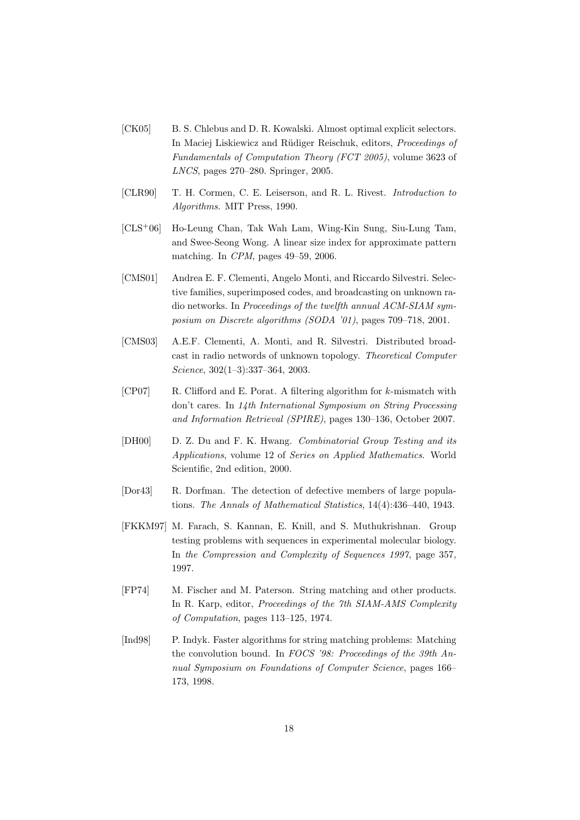- <span id="page-17-10"></span>[CK05] B. S. Chlebus and D. R. Kowalski. Almost optimal explicit selectors. In Maciej Liskiewicz and Rüdiger Reischuk, editors, Proceedings of Fundamentals of Computation Theory (FCT 2005), volume 3623 of LNCS, pages 270–280. Springer, 2005.
- <span id="page-17-4"></span>[CLR90] T. H. Cormen, C. E. Leiserson, and R. L. Rivest. Introduction to Algorithms. MIT Press, 1990.
- <span id="page-17-3"></span>[CLS+06] Ho-Leung Chan, Tak Wah Lam, Wing-Kin Sung, Siu-Lung Tam, and Swee-Seong Wong. A linear size index for approximate pattern matching. In CPM, pages 49–59, 2006.
- <span id="page-17-9"></span>[CMS01] Andrea E. F. Clementi, Angelo Monti, and Riccardo Silvestri. Selective families, superimposed codes, and broadcasting on unknown radio networks. In Proceedings of the twelfth annual ACM-SIAM symposium on Discrete algorithms (SODA '01), pages 709–718, 2001.
- <span id="page-17-8"></span>[CMS03] A.E.F. Clementi, A. Monti, and R. Silvestri. Distributed broadcast in radio networds of unknown topology. Theoretical Computer Science, 302(1–3):337–364, 2003.
- <span id="page-17-2"></span>[CP07] R. Clifford and E. Porat. A filtering algorithm for k-mismatch with don't cares. In 14th International Symposium on String Processing and Information Retrieval (SPIRE), pages 130–136, October 2007.
- <span id="page-17-6"></span>[DH00] D. Z. Du and F. K. Hwang. Combinatorial Group Testing and its Applications, volume 12 of Series on Applied Mathematics. World Scientific, 2nd edition, 2000.
- <span id="page-17-5"></span>[Dor43] R. Dorfman. The detection of defective members of large populations. The Annals of Mathematical Statistics, 14(4):436–440, 1943.
- <span id="page-17-7"></span>[FKKM97] M. Farach, S. Kannan, E. Knill, and S. Muthukrishnan. Group testing problems with sequences in experimental molecular biology. In the Compression and Complexity of Sequences 1997, page 357, 1997.
- <span id="page-17-0"></span>[FP74] M. Fischer and M. Paterson. String matching and other products. In R. Karp, editor, *Proceedings of the 7th SIAM-AMS Complexity* of Computation, pages 113–125, 1974.
- <span id="page-17-1"></span>[Ind98] P. Indyk. Faster algorithms for string matching problems: Matching the convolution bound. In FOCS '98: Proceedings of the 39th Annual Symposium on Foundations of Computer Science, pages 166– 173, 1998.